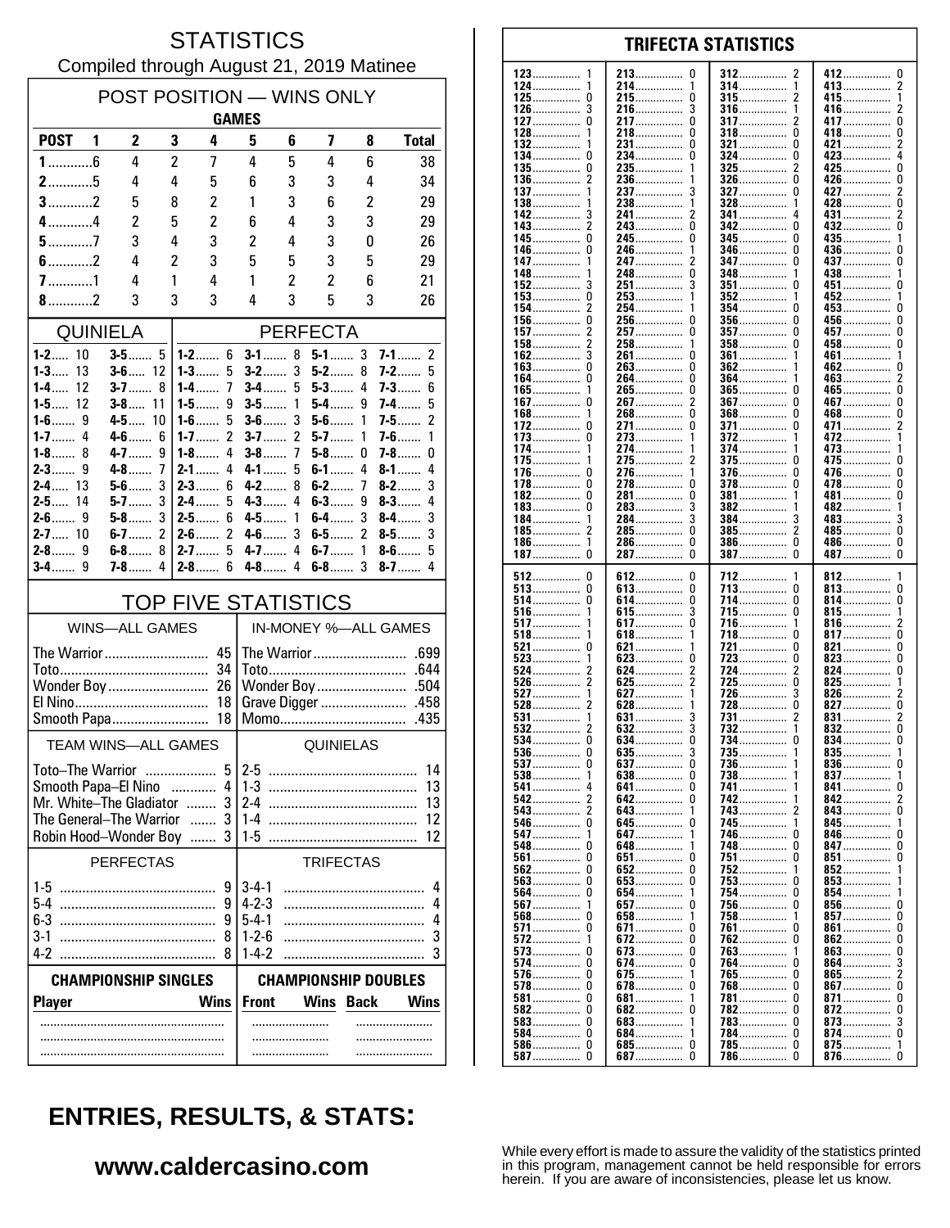#### **STATISTICS** Compiled through August 21, 2019 Matinee

| POST POSITION - WINS ONLY<br><b>GAMES</b>          |                            |                            |                     |                              |                                     |                     |                  |             |                          |  |
|----------------------------------------------------|----------------------------|----------------------------|---------------------|------------------------------|-------------------------------------|---------------------|------------------|-------------|--------------------------|--|
| <b>POST</b>                                        | 1                          | 2                          | 3                   | 4                            | 5                                   | 6                   | 7                | 8           | <b>Total</b>             |  |
| $1$ 6                                              |                            | 4                          | $\overline{2}$      | 7                            | 4                                   | 5                   | 4                | 6           | 38                       |  |
| $2$ 5                                              |                            | 4                          | 4                   | 5                            | 6                                   | 3                   | 3                | 4           | 34                       |  |
| $3$ 2                                              |                            | 5                          | 8                   | 2                            | 1                                   | 3                   | 6                | 2           | 29                       |  |
| $4$ 4                                              |                            | $\overline{c}$             | 5                   | $\overline{c}$               | 6                                   | 4                   | 3                | 3           | 29                       |  |
| $5$ 7<br>$6$ 2                                     |                            | 3<br>4                     | 4<br>$\overline{c}$ | 3<br>3                       | $\overline{c}$<br>5                 | 4<br>5              | 3<br>3           | 0           | 26<br>29                 |  |
| $7$ 1                                              |                            | 4                          | 1                   | 4                            | 1                                   | 2                   | 2                | 5<br>6      | 21                       |  |
| 8.111                                              |                            | 3                          | 3                   | 3                            | 4                                   | 3                   | 5                | 3           | 26                       |  |
| <b>QUINIELA</b>                                    |                            |                            |                     | <b>PERFECTA</b>              |                                     |                     |                  |             |                          |  |
| $1 - 2$ 10                                         |                            |                            |                     | $1 - 2$ 6                    | 8<br>$5-1$ 3<br>$3-1$<br>$7-1$<br>2 |                     |                  |             |                          |  |
| 13<br>$1 - 3$                                      |                            | $3 - 6$ 12                 |                     | $1 - 3$<br>5                 | $3-2$                               | 3                   | $5-2$            | 8           | $7-2$<br>5               |  |
| $1 - 4$<br>12<br>$1 - 5$ 12                        |                            | $3-7$                      | 8                   | $1 - 4$<br>7                 | $3-4$                               | 5                   | $5-3$<br>$5-4$   | 4           | $7-3$<br>6               |  |
| $1-6$                                              | 9                          | $3-8$<br>11<br>10<br>4-5…. |                     | $1-5$<br>9<br>5<br>$1-6$     | $3-5$<br>$3-6$                      | 1<br>3              | $5-6$            | 9<br>1      | 7-4……<br>5<br>2<br>$7-5$ |  |
| $1 - 7$                                            | 4                          | $4-6$                      | 6                   | $\overline{c}$<br>$1 - 7$    | $3-7$                               | $\overline{2}$      | $5-7$            | 1           | $7-6$<br>1               |  |
| $1 - 8$ 8<br>$2 - 3$                               | 9                          | $4 - 7$<br>$4 - 8$         | 9<br>7              | $1 - 8$<br>4<br>$2 - 1$<br>4 | $3-8$<br>$4 - 1$                    | $\overline{1}$<br>5 | $5-8$<br>$6-1$   | 0<br>4      | $7 - 8$<br>0<br>8-1<br>4 |  |
| $2 - 4$ 13                                         |                            | $5-6$                      | 3                   | $2-3$<br>6                   | $4 - 2$                             | 8                   | $6-2$            | 7           | 3<br>$8-2$               |  |
| $2-5$<br>14                                        |                            | $5-7$                      | 3                   | $2 - 4$<br>5                 | $4 - 3$                             | 4                   | $6-3$            | 9           | $8 - 3$<br>4             |  |
| $2-6$                                              | 9                          | $5-8$                      | 3                   | $2 - 5$<br>6                 | 4-5……                               | 1                   | $6-4$            | 3           | 3<br>8-4……               |  |
| $2 - 7$ 10<br>$2 - 8$                              | 9                          | $6-7$<br>6-8               | 2<br>8              | $2 - 6$<br>2<br>5<br>$2 - 7$ | 4-6<br>$4 - 7$                      | 3<br>4              | $6-5$<br>$6-7$   | 2<br>1      | 3<br>8-5……<br>$8-6$<br>5 |  |
| $3-4$                                              | 9                          | $7-8$                      | 4                   | $2-8$<br>6                   | $4-8$                               | 4                   | $6-8$            | 3           | $8-7$<br>4               |  |
| <b>TOP FIVE STATISTICS</b>                         |                            |                            |                     |                              |                                     |                     |                  |             |                          |  |
| <b>WINS-ALL GAMES</b>                              |                            |                            |                     |                              | IN-MONEY %-ALL GAMES                |                     |                  |             |                          |  |
| The Warrior                                        |                            |                            |                     | 45                           |                                     |                     | The Warrior      |             | .699                     |  |
|                                                    |                            |                            |                     | 34                           |                                     |                     |                  |             | .644                     |  |
| Wonder Boy 26<br>18                                |                            |                            |                     | Grave Digger<br>.458         |                                     |                     |                  |             |                          |  |
| Smooth Papa                                        |                            |                            |                     | 18                           |                                     |                     | Momo             |             | .435                     |  |
|                                                    | <b>TEAM WINS-ALL GAMES</b> |                            |                     |                              |                                     |                     | <b>QUINIELAS</b> |             |                          |  |
| <b>Toto-The Warrior</b>                            |                            |                            |                     | 5.                           | $2-5$                               |                     |                  |             | 14                       |  |
| Smooth Papa-El Nino                                |                            |                            |                     |                              |                                     |                     |                  |             | 13                       |  |
| Mr. White-The Gladiator<br>The General-The Warrior |                            |                            |                     | 3<br>$\cdots$<br>3           | $1 - 4$                             |                     |                  |             | 13<br>12                 |  |
| Robin Hood-Wonder Boy                              |                            |                            |                     | 3                            | $1-5$                               |                     |                  |             | 12                       |  |
|                                                    | <b>PERFECTAS</b>           |                            |                     |                              |                                     |                     | <b>TRIFECTAS</b> |             |                          |  |
|                                                    |                            |                            |                     | 9                            | $3 - 4 - 1$                         |                     |                  |             | 4                        |  |
|                                                    |                            |                            |                     | 9<br>9                       | $4 - 2 - 3$<br>$5-4-1$              |                     |                  |             | 4<br>4                   |  |
| $3 - 1$                                            |                            |                            |                     | 8                            | $1 - 2 - 6$                         |                     |                  |             | 3                        |  |
|                                                    |                            |                            |                     |                              | $1 - 4 - 2$                         |                     |                  |             | 3                        |  |
| <b>CHAMPIONSHIP SINGLES</b>                        |                            |                            |                     |                              | <b>CHAMPIONSHIP DOUBLES</b>         |                     |                  |             |                          |  |
| <b>Player</b>                                      |                            |                            |                     | <b>Wins</b>                  | <b>Front</b>                        |                     | <b>Wins</b>      | <b>Back</b> | <b>Wins</b>              |  |
|                                                    |                            |                            |                     |                              |                                     |                     |                  |             |                          |  |
|                                                    |                            |                            |                     |                              |                                     |                     |                  |             |                          |  |
|                                                    |                            |                            |                     |                              |                                     |                     |                  |             |                          |  |

#### 123 213  $\Omega$ 412  $\mathbf{0}$ 312 124 214 314 413  $\boldsymbol{2}$  $\overline{\mathbf{1}}$ -1 . . . . . . . . . . . . . . . . . . . . . . . . . . . . . . . . . . . . . . . . . . . .  $\pmb{0}$  $\mathbf 0$  $\overline{2}$  $\mathbf{1}$ 125 215 315 415................ . . . . . . . . . . . . . . ............... . . . . . . . . . . . . . . . 126 3 216 3 316 416  $\overline{c}$ 1 . . . . . . . . . . . . . . . .............. . . . . . . . . . . . . . . . .  $\mathbf{0}$ 127 0 217  $\Omega$ 317 417 2 . . . . . . . . . . . . . . . . . . . . . . . . . . . . . . . . . . . . . . 128 218  $\Omega$ 318  $\Omega$ 418  $\Omega$ 1 ž  $\Omega$ 132 231................ 321  $\Omega$  $421$ 134  $\pmb{0}$  $\pmb{0}$ 0  $234$ ................ 324 423.... 135  $\Omega$ 235. 325 425  $\mathbf 0$ . . . . . . . . . . . . . . .  $\overline{c}$ 236 326  $\Omega$ 426................  $\pmb{0}$ 136 . . . . . . . . . . . . . . . . . . . . . . . . . . . . . . . . . . . . . . . . . . . . . . 137 237 ્ર 327  $\Omega$ 427  $\overline{2}$ . . . . . . . . . . . . . . 138 238  $\frac{1}{2}$ 328 428  $\Omega$ 1 . . . . . . . . . . . . . . . . . . . . . 142 241................  $\overline{2}$ 341 3 431  $143.$  $\bar{2}$  $\bar{0}$  $342$  $432$ ........ ō  $\Omega$ . . . . . . . . . . . . . . . . . . . . . . . . . . . . . . Ō  $\mathbf{0}$ 245 345  $\mathbf{0}$ 435. 145 -1 346 0 436 146 246  $\frac{1}{2}$ . . . . . . . . . . . . . . . . . . . . . . . . . . . . . . . . . . . . . . . . . . . 147 247 347  $\Omega$ 437  $\Omega$ . . . . . . . . . . . . . . . . . . . . . . . . . . . . . . . . . . . . . . . . . . 148 248  $\pmb{0}$ 348 438 1 . . . . . . . . . . . . . . .............. . . . . . . . . . . . . . . . . . . . . . . . . . . . . . . . 152 3 251 3 351 451 0 n . . . . . . . . . . . . . . . . . . . . . . . . . . 153  $\Omega$ 253 352 452  $\overline{1}$ 1  $\overline{2}$  $\Omega$ 154 254  $453...$ 354 n 156.  $\mathbf 0$  $\mathbf 0$  $\mathbf 0$ 256 356  $\Omega$  $456...$ ŏ 157 257.  $\Omega$ 357 457  $\overline{c}$ . . . . . . . . . . . . . . . . . . . . . . . . . . . . . . . . . . . . . . . . . . 458...............  $\overline{c}$  $\pmb{0}$ 158 258 358  $\Omega$ . . . . . . . . . . . . . . . . .............. . . . . . . . . . . . . . . . . 162 3 261  $\Omega$ 361 461  $\overline{1}$ . . . . . . . . . . . . . . . . . . . . . . . . . . . . . 163  $\Omega$ 263  $\Omega$ 362 462  $\Omega$ . . . . . . . . . . . . . . . . . . . . . . . . . .  $\frac{5}{2}$ 264................ 164  $\Omega$  $\Omega$ 364 463. 265.................. ō 165................ Ō 365.................  $465$  $\Omega$  $\mathbf 0$  $\overline{2}$  $\mathbf{0}$  $\mathbf 0$ 267. 367  $467...$ 167. . . . . . . . . . . . . . . . . . . . . . . . . . . . . . . . . . . . . . .  $\overline{0}$ Ō Ō 168 268 368 468 . . . . . . . . . . . . . . . . . . . . . . . . . . . . . . . . . . . . . . . . . . . . 172  $\mathbf 0$ 271.  $\pmb{0}$ 371................ 0 471......  $\boldsymbol{2}$ . . . . . . . . . . . . . . . ........... 372 273 173 0 472 . . . . . . . . . . . . . . . . . . . . . . . . . . . . . . . . . . . . . . . . . . . . . . . . . . . . . . . . . . . . 174 274 374 473 . . . . . . . . . . . . . . . . . . . . . . . . . . . . . . . . . . . . . . . . . . . 175 275 2 375  $\Omega$ 475  $\Omega$ . . . . . . . . . . . . . . . . . . . . . . . . . . . 376  $\Omega$ 176 -0 276. . . . . . . . . . . . . .  $\mathbf{1}$  $\Omega$ 476.  $\dot{0}$ ŏ  $\Omega$ 278................  $\Omega$ 478  $178...$ 378 182  $\Omega$ 281  $\pmb{0}$ 381  $\mathbf{0}$ 481 . . . . . . . . . . . . . . . ............... . . . . . . . . . . . . . . . 183 0 283 3 382 482 . . . . . . . . . . . . . . . . . . . . . . . . . . . . . . . . . . . . . . . . . . . . . . . . . . . 184 284  $\overline{3}$ 384 483 3 3 . . . . . . . . . . . . . . . . . . . . . . . . . . . . . . . . . . . . . . . . . . . . . . . . . . . . . 185  $\overline{2}$ 285  $\Omega$ 385 2 485  $\Omega$ . . . . . . . . . . . . . . . . . . . . . . . . . . . . . . . . . . . . . . . . . . . . . . . . . . . . . . . . . . . 186  $\mathbf{1}$ 286.  $\Omega$ 386  $\Omega$ 486................  $\Omega$ . . . . . . . . . . . . . . . . . . . . . . . . . . . . . . . . . . . . . . . . . . . . .  $\dot{0}$  $\tilde{0}$  $\tilde{0}$ 287................  $\Omega$ 187 387 387 512  $\mathbf 0$ 612  $\pmb{0}$ 712 812 . . . . . . . . . . . . . . . . . . . . . . . 513  $\pmb{0}$ 613................  $\pmb{0}$  $\Omega$  $\pmb{0}$ 713 813 ............... . . . . . . . . . . . . . . . . . . . . . . . . . . . . . . . . 514 0 614 0 714  $\Omega$ 814 0 . . . . . . . . . . . . . . . . . . . . . . . . . . . . . . . . . . . . . . . . . . . . . . . . . . . . . . . . . . . . 516 615 3 715  $\Omega$ 815  $\frac{1}{2}$ -1 . . . . . . . . . . . . . . . . . . . . . . . . . . . . . . . . . . . . . . .  $\overline{0}$ 517. 617... 716. 1 816. ō  $817$ ........  $618$ ................ 718  $\Omega$  $\mathbf{1}$ . . . . . . . . . . . . . . . 521  $\pmb{0}$ 721  $\theta$ 821  $\pmb{0}$ 621 . . . . . . . . . . . . . . . . . . . . . . .  $823$ 523 623  $\mathbf 0$ 723 O  $\pmb{0}$ . . . . . . . . . . . . . . . .............. . . . . . . . . . . . . . . . . . . . . . . . . . . . . . . . 524  $\overline{\phantom{a}}$ 624  $\overline{c}$ 724 2 824  $\Omega$ . . . . . . . . . . . . . . . . . . . . . . . . . . . . . . . . . . . . . . . . . . .  $725.726$ 526  $\overline{\phantom{a}}$ 625  $\mathcal{P}$  $\Omega$ 825 1 . . . . . . . . . . . . . . . . . . . . . . . . . . . . 627 527 1 1 3 826 528  $\dot{2}$  $628$  $728$ Ō ō  $827$ 531 631 731 831  $\overline{2}$ . . . . . . . . . . . . . . . . . . . . . . . . . . . . . . 532  $\overline{2}$  $\overline{3}$  $\overline{0}$ 632  $832$ ....... . . . . . . . . . . . . . . . . . . . . . . . . . . . . . . 534.  $\mathbf 0$ 634. 0 734 834.......  $\mathbf{0}$ . . . . . . . . . . . . . . . . . . . . . . . . . . . . . . 635 536 0  $\frac{3}{0}$ 735 835  $\frac{1}{0}$ . . . . . . . . . . . . . . . . . . . . . . . . . . . . . . . . . . . . . . . . . . . . . . . . . . . . . . . . . . . 537  $\Omega$ 637 736 836  $\mathbf{1}$ 738 837 538 1 638  $\Omega$ . . . . . . . . . . . . . . . . . . . . . 641............... 541 0 741 841 0 642................. 742................ 542  $\overline{2}$  $\Omega$ 842......  $\overline{2}$ . . . . . . . . . . . . . . ō 543.  $\overline{\mathbf{c}}$ 743 643  $843...$ . . . . . . . . . . . . . . . . . . . . . . . . 546  $\mathbf 0$ 645.  $\mathbf 0$ 745  $845...$ . . . . . . . . . . . . . . . . . . . . . . . . . . . . . . . . . . . . . . . . . . . . . 547 647 746 846  $\mathbf{0}$  $\Omega$ . . . . . . . . . . . . . . . . . . . . . . . . . . . . . . . . . . . . . . . . . . . . 548  $\Omega$ 648 748  $\Omega$ 847  $\Omega$ . . . . . . . . . . . . . . 561  $\Omega$ 651  $\Omega$ 751  $\Omega$  $851...$  $\Omega$ . . . . . . . . . . .  $\Omega$  $\Omega$ 852 562 652 752 1  $563.$  $\overline{0}$ 653.................  $\overline{0}$  $753$ 853 . . . . . . . . . . . . . . . 564 Ō 654 754 Ō 854 . . . . . . . . . . . . . . . . . . . . . . . . . . . . 856................ 567 657  $\overline{0}$ 756 n  $\Omega$ . . . . . . . . . . . . . . . . . . . . . . . . . . . . . . 568  $\Omega$ 658  $\mathbf{1}$ 758 1 857  $\Omega$ . . . . . . . . . . . . . . . . . . . . . . . . . . . 571 0 671  $\mathbf 0$ 761 n 861  $\mathbf{0}$ . . . . . . . . . . . . . . . . . . . . . . . . . . . . . . 572 672 0 762 <sup>0</sup> 862 0 -1 . . . . . . . . . . . . . . . . . . . . . . . . . 573  $\Omega$ 673  $\Omega$ 763 863  $\Omega$ 1 š 574 0 674.  $\mathbf 0$ 764  $864$ ...... n  $\overline{2}$ 576.  $\pmb{0}$ 675 765  $\pmb{0}$ 865................. . . . . . . . . . . . . . . . . . . . . . . . . . . . . -1 . . . . . . . . . . . . . 578  $\Omega$ 678  $\mathbf 0$ 768  $\theta$  $867$  $\mathbf 0$ . . . . . . . . . . . . . . . . . . . . . . . . . . . . . .  $581$ ................  $\pmb{0}$ 681 781  $\theta$ 871  $\pmb{0}$ . . . . . . . . . . . . . . . . . . . . . . . . . . . . . . . ................ 582  $\Omega$ 682  $\Omega$ 782  $\Omega$ 872  $\Omega$ . . . . . . . . . . . . . . . . . . . . . . . . . . . . . 583  $\Omega$ 683 783  $\Omega$ 873 3  $\mathbf{1}$ . . . . . . . . . . . . . . . . . . . . . . . . . . . . . . . . . . . . . . . . . . . . . . . ŏ 584................  $\Omega$ 684................ 784.  $\Omega$ 874................ -1 586............... 685...............  $\mathbf 0$  $\mathbf 0$  $785$ ................  $\Omega$ 875................  $\mathbf{1}$ 587  $\pmb{0}$ 687.  $\Omega$ 786  $\Omega$ 876................  $\Omega$

**TRIFECTA STATISTICS** 

# **ENTRIES, RESULTS, & STATS:**

### www.caldercasino.com

While every effort is made to assure the validity of the statistics printed in this program, management cannot be held responsible for errors herein. If you are aware of inconsistencies, please let us know.